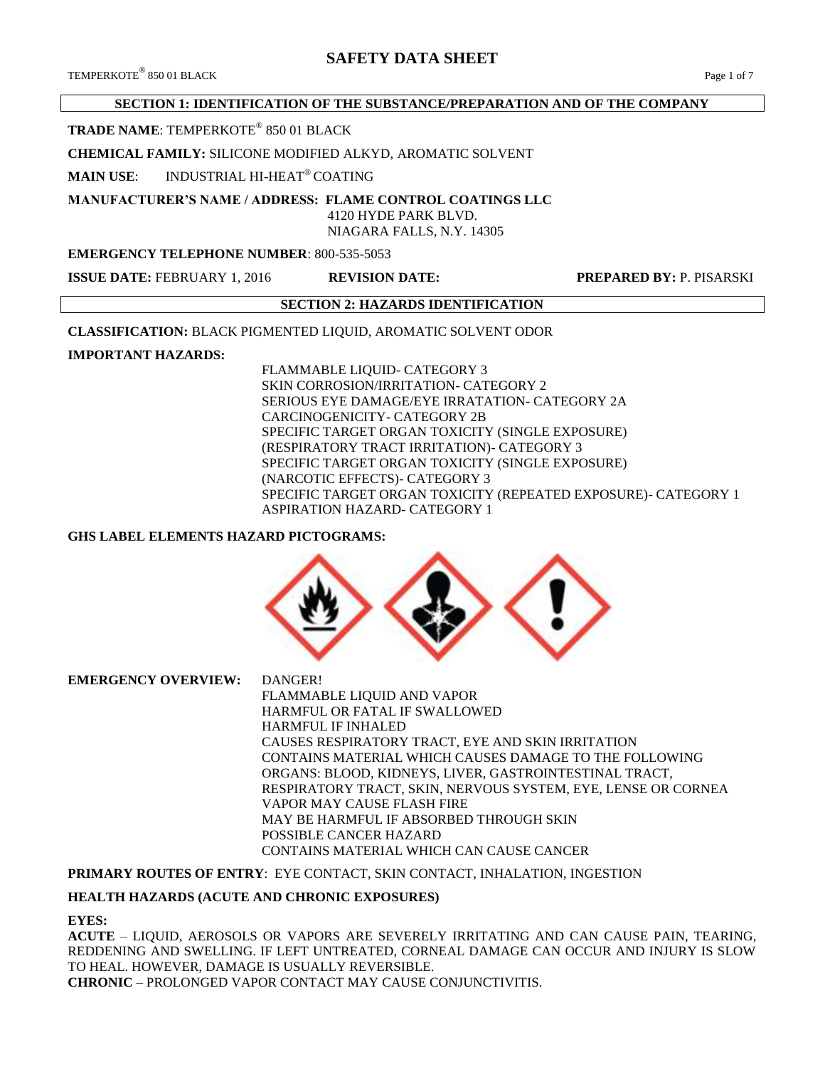# **SAFETY DATA SHEET**

### **SECTION 1: IDENTIFICATION OF THE SUBSTANCE/PREPARATION AND OF THE COMPANY**

### **TRADE NAME**: TEMPERKOTE® 850 01 BLACK

#### **CHEMICAL FAMILY:** SILICONE MODIFIED ALKYD, AROMATIC SOLVENT

**MAIN USE**: INDUSTRIAL HI-HEAT® COATING

# **MANUFACTURER'S NAME / ADDRESS: FLAME CONTROL COATINGS LLC**

 4120 HYDE PARK BLVD. NIAGARA FALLS, N.Y. 14305

#### **EMERGENCY TELEPHONE NUMBER**: 800-535-5053

**ISSUE DATE:** FEBRUARY 1, 2016 **REVISION DATE: PREPARED BY:** P. PISARSKI

# **SECTION 2: HAZARDS IDENTIFICATION**

**CLASSIFICATION:** BLACK PIGMENTED LIQUID, AROMATIC SOLVENT ODOR

#### **IMPORTANT HAZARDS:**

FLAMMABLE LIQUID- CATEGORY 3 SKIN CORROSION/IRRITATION- CATEGORY 2 SERIOUS EYE DAMAGE/EYE IRRATATION- CATEGORY 2A CARCINOGENICITY- CATEGORY 2B SPECIFIC TARGET ORGAN TOXICITY (SINGLE EXPOSURE) (RESPIRATORY TRACT IRRITATION)- CATEGORY 3 SPECIFIC TARGET ORGAN TOXICITY (SINGLE EXPOSURE) (NARCOTIC EFFECTS)- CATEGORY 3 SPECIFIC TARGET ORGAN TOXICITY (REPEATED EXPOSURE)- CATEGORY 1 ASPIRATION HAZARD- CATEGORY 1

#### **GHS LABEL ELEMENTS HAZARD PICTOGRAMS:**



**EMERGENCY OVERVIEW:** DANGER! FLAMMABLE LIQUID AND VAPOR HARMFUL OR FATAL IF SWALLOWED HARMFUL IF INHALED CAUSES RESPIRATORY TRACT, EYE AND SKIN IRRITATION CONTAINS MATERIAL WHICH CAUSES DAMAGE TO THE FOLLOWING ORGANS: BLOOD, KIDNEYS, LIVER, GASTROINTESTINAL TRACT, RESPIRATORY TRACT, SKIN, NERVOUS SYSTEM, EYE, LENSE OR CORNEA VAPOR MAY CAUSE FLASH FIRE MAY BE HARMFUL IF ABSORBED THROUGH SKIN POSSIBLE CANCER HAZARD CONTAINS MATERIAL WHICH CAN CAUSE CANCER

#### **PRIMARY ROUTES OF ENTRY**: EYE CONTACT, SKIN CONTACT, INHALATION, INGESTION

#### **HEALTH HAZARDS (ACUTE AND CHRONIC EXPOSURES)**

#### **EYES:**

**ACUTE** – LIQUID, AEROSOLS OR VAPORS ARE SEVERELY IRRITATING AND CAN CAUSE PAIN, TEARING, REDDENING AND SWELLING. IF LEFT UNTREATED, CORNEAL DAMAGE CAN OCCUR AND INJURY IS SLOW TO HEAL. HOWEVER, DAMAGE IS USUALLY REVERSIBLE. **CHRONIC** – PROLONGED VAPOR CONTACT MAY CAUSE CONJUNCTIVITIS.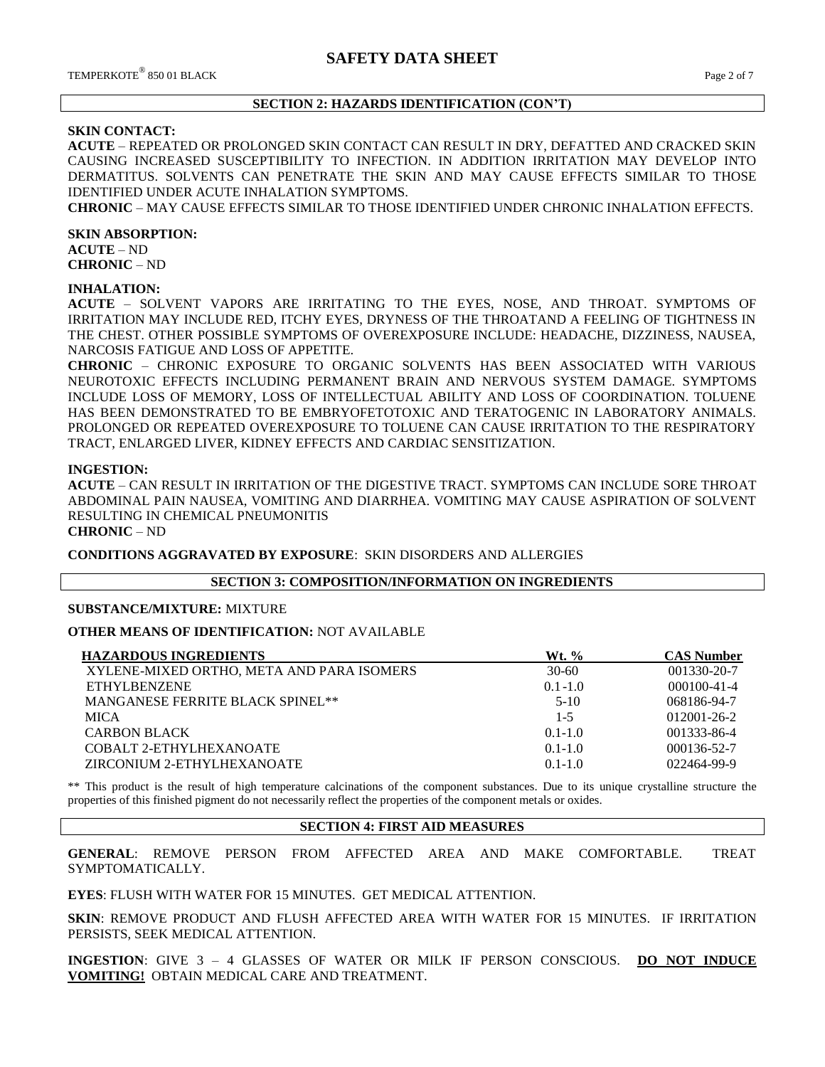#### **SECTION 2: HAZARDS IDENTIFICATION (CON'T)**

#### **SKIN CONTACT:**

**ACUTE** – REPEATED OR PROLONGED SKIN CONTACT CAN RESULT IN DRY, DEFATTED AND CRACKED SKIN CAUSING INCREASED SUSCEPTIBILITY TO INFECTION. IN ADDITION IRRITATION MAY DEVELOP INTO DERMATITUS. SOLVENTS CAN PENETRATE THE SKIN AND MAY CAUSE EFFECTS SIMILAR TO THOSE IDENTIFIED UNDER ACUTE INHALATION SYMPTOMS.

**CHRONIC** – MAY CAUSE EFFECTS SIMILAR TO THOSE IDENTIFIED UNDER CHRONIC INHALATION EFFECTS.

#### **SKIN ABSORPTION:**

**ACUTE** – ND **CHRONIC** – ND

#### **INHALATION:**

**ACUTE** – SOLVENT VAPORS ARE IRRITATING TO THE EYES, NOSE, AND THROAT. SYMPTOMS OF IRRITATION MAY INCLUDE RED, ITCHY EYES, DRYNESS OF THE THROATAND A FEELING OF TIGHTNESS IN THE CHEST. OTHER POSSIBLE SYMPTOMS OF OVEREXPOSURE INCLUDE: HEADACHE, DIZZINESS, NAUSEA, NARCOSIS FATIGUE AND LOSS OF APPETITE.

**CHRONIC** – CHRONIC EXPOSURE TO ORGANIC SOLVENTS HAS BEEN ASSOCIATED WITH VARIOUS NEUROTOXIC EFFECTS INCLUDING PERMANENT BRAIN AND NERVOUS SYSTEM DAMAGE. SYMPTOMS INCLUDE LOSS OF MEMORY, LOSS OF INTELLECTUAL ABILITY AND LOSS OF COORDINATION. TOLUENE HAS BEEN DEMONSTRATED TO BE EMBRYOFETOTOXIC AND TERATOGENIC IN LABORATORY ANIMALS. PROLONGED OR REPEATED OVEREXPOSURE TO TOLUENE CAN CAUSE IRRITATION TO THE RESPIRATORY TRACT, ENLARGED LIVER, KIDNEY EFFECTS AND CARDIAC SENSITIZATION.

#### **INGESTION:**

**ACUTE** – CAN RESULT IN IRRITATION OF THE DIGESTIVE TRACT. SYMPTOMS CAN INCLUDE SORE THROAT ABDOMINAL PAIN NAUSEA, VOMITING AND DIARRHEA. VOMITING MAY CAUSE ASPIRATION OF SOLVENT RESULTING IN CHEMICAL PNEUMONITIS

# **CHRONIC** – ND

**CONDITIONS AGGRAVATED BY EXPOSURE**: SKIN DISORDERS AND ALLERGIES

#### **SECTION 3: COMPOSITION/INFORMATION ON INGREDIENTS**

#### **SUBSTANCE/MIXTURE:** MIXTURE

#### **OTHER MEANS OF IDENTIFICATION:** NOT AVAILABLE

| <b>HAZARDOUS INGREDIENTS</b>              | $Wt.$ %     | <b>CAS Number</b> |
|-------------------------------------------|-------------|-------------------|
| XYLENE-MIXED ORTHO, META AND PARA ISOMERS | $30 - 60$   | 001330-20-7       |
| <b>ETHYLBENZENE</b>                       | $0.1 - 1.0$ | $000100 - 41 - 4$ |
| MANGANESE FERRITE BLACK SPINEL**          | $5-10$      | 068186-94-7       |
| <b>MICA</b>                               | $1 - 5$     | $012001 - 26 - 2$ |
| <b>CARBON BLACK</b>                       | $0.1 - 1.0$ | 001333-86-4       |
| COBALT 2-ETHYLHEXANOATE                   | $0.1 - 1.0$ | 000136-52-7       |
| ZIRCONIUM 2-ETHYLHEXANOATE                | $0.1 - 1.0$ | 022464-99-9       |

\*\* This product is the result of high temperature calcinations of the component substances. Due to its unique crystalline structure the properties of this finished pigment do not necessarily reflect the properties of the component metals or oxides.

### **SECTION 4: FIRST AID MEASURES**

**GENERAL**: REMOVE PERSON FROM AFFECTED AREA AND MAKE COMFORTABLE. TREAT SYMPTOMATICALLY.

**EYES**: FLUSH WITH WATER FOR 15 MINUTES. GET MEDICAL ATTENTION.

**SKIN**: REMOVE PRODUCT AND FLUSH AFFECTED AREA WITH WATER FOR 15 MINUTES. IF IRRITATION PERSISTS, SEEK MEDICAL ATTENTION.

**INGESTION**: GIVE 3 – 4 GLASSES OF WATER OR MILK IF PERSON CONSCIOUS. **DO NOT INDUCE VOMITING!** OBTAIN MEDICAL CARE AND TREATMENT.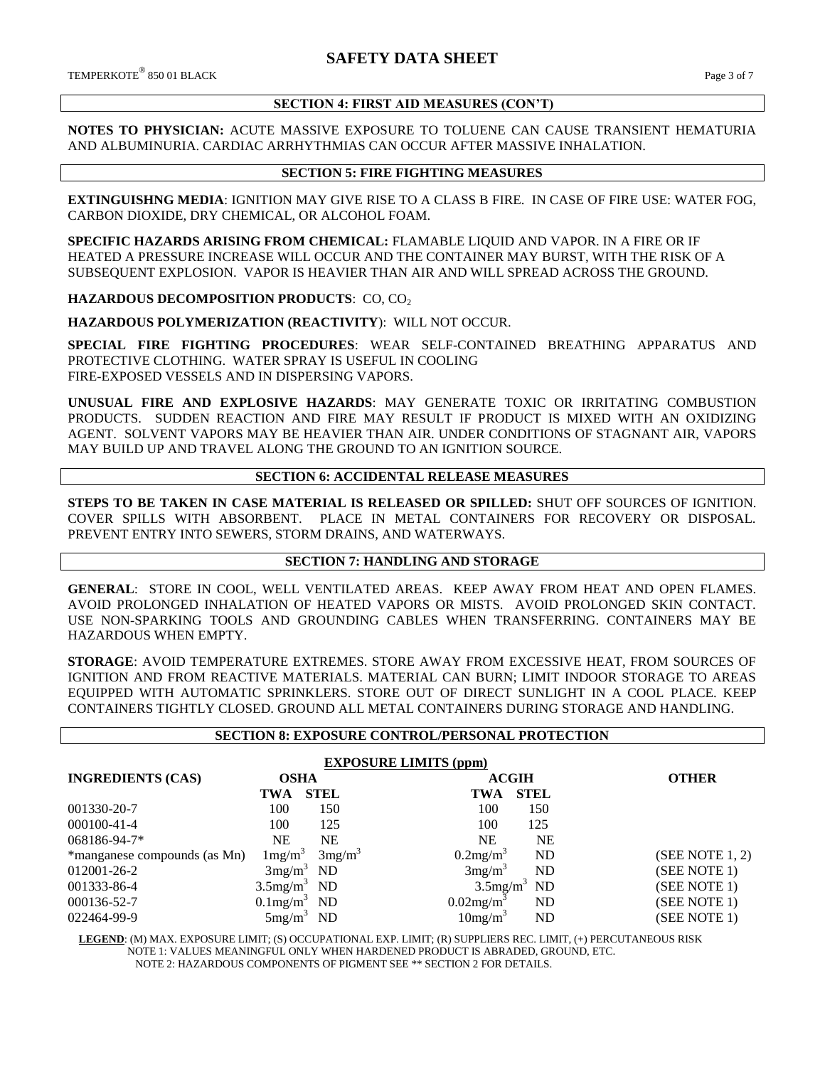#### **SECTION 4: FIRST AID MEASURES (CON'T)**

**NOTES TO PHYSICIAN:** ACUTE MASSIVE EXPOSURE TO TOLUENE CAN CAUSE TRANSIENT HEMATURIA AND ALBUMINURIA. CARDIAC ARRHYTHMIAS CAN OCCUR AFTER MASSIVE INHALATION.

#### **SECTION 5: FIRE FIGHTING MEASURES**

**EXTINGUISHNG MEDIA**: IGNITION MAY GIVE RISE TO A CLASS B FIRE. IN CASE OF FIRE USE: WATER FOG, CARBON DIOXIDE, DRY CHEMICAL, OR ALCOHOL FOAM.

**SPECIFIC HAZARDS ARISING FROM CHEMICAL:** FLAMABLE LIQUID AND VAPOR. IN A FIRE OR IF HEATED A PRESSURE INCREASE WILL OCCUR AND THE CONTAINER MAY BURST, WITH THE RISK OF A SUBSEQUENT EXPLOSION. VAPOR IS HEAVIER THAN AIR AND WILL SPREAD ACROSS THE GROUND.

**HAZARDOUS DECOMPOSITION PRODUCTS: CO, CO<sub>2</sub>** 

**HAZARDOUS POLYMERIZATION (REACTIVITY**): WILL NOT OCCUR.

**SPECIAL FIRE FIGHTING PROCEDURES**: WEAR SELF-CONTAINED BREATHING APPARATUS AND PROTECTIVE CLOTHING. WATER SPRAY IS USEFUL IN COOLING FIRE-EXPOSED VESSELS AND IN DISPERSING VAPORS.

**UNUSUAL FIRE AND EXPLOSIVE HAZARDS**: MAY GENERATE TOXIC OR IRRITATING COMBUSTION PRODUCTS. SUDDEN REACTION AND FIRE MAY RESULT IF PRODUCT IS MIXED WITH AN OXIDIZING AGENT. SOLVENT VAPORS MAY BE HEAVIER THAN AIR. UNDER CONDITIONS OF STAGNANT AIR, VAPORS MAY BUILD UP AND TRAVEL ALONG THE GROUND TO AN IGNITION SOURCE.

#### **SECTION 6: ACCIDENTAL RELEASE MEASURES**

**STEPS TO BE TAKEN IN CASE MATERIAL IS RELEASED OR SPILLED:** SHUT OFF SOURCES OF IGNITION. COVER SPILLS WITH ABSORBENT. PLACE IN METAL CONTAINERS FOR RECOVERY OR DISPOSAL. PREVENT ENTRY INTO SEWERS, STORM DRAINS, AND WATERWAYS.

#### **SECTION 7: HANDLING AND STORAGE**

**GENERAL**: STORE IN COOL, WELL VENTILATED AREAS. KEEP AWAY FROM HEAT AND OPEN FLAMES. AVOID PROLONGED INHALATION OF HEATED VAPORS OR MISTS. AVOID PROLONGED SKIN CONTACT. USE NON-SPARKING TOOLS AND GROUNDING CABLES WHEN TRANSFERRING. CONTAINERS MAY BE HAZARDOUS WHEN EMPTY.

**STORAGE**: AVOID TEMPERATURE EXTREMES. STORE AWAY FROM EXCESSIVE HEAT, FROM SOURCES OF IGNITION AND FROM REACTIVE MATERIALS. MATERIAL CAN BURN; LIMIT INDOOR STORAGE TO AREAS EQUIPPED WITH AUTOMATIC SPRINKLERS. STORE OUT OF DIRECT SUNLIGHT IN A COOL PLACE. KEEP CONTAINERS TIGHTLY CLOSED. GROUND ALL METAL CONTAINERS DURING STORAGE AND HANDLING.

#### **SECTION 8: EXPOSURE CONTROL/PERSONAL PROTECTION**

| <b>EXPOSURE LIMITS (ppm)</b> |                            |                    |                          |                            |                |  |
|------------------------------|----------------------------|--------------------|--------------------------|----------------------------|----------------|--|
| <b>INGREDIENTS (CAS)</b>     | <b>OSHA</b>                |                    | <b>ACGIH</b>             |                            | <b>OTHER</b>   |  |
|                              | TWA                        | <b>STEL</b>        | TWA                      | <b>STEL</b>                |                |  |
| 001330-20-7                  | 100                        | 150                | 100                      | 150                        |                |  |
| 000100-41-4                  | 100                        | 125                | 100                      | 125                        |                |  |
| 068186-94-7*                 | <b>NE</b>                  | NE                 | <b>NE</b>                | NE                         |                |  |
| *manganese compounds (as Mn) | $1 \text{mg/m}^3$          | 3mg/m <sup>3</sup> | 0.2mg/m <sup>3</sup>     | ND                         | (SEE NOTE1, 2) |  |
| 012001-26-2                  | 3mg/m <sup>3</sup>         | ND                 | 3mg/m <sup>3</sup>       | ND                         | (SEE NOTE 1)   |  |
| 001333-86-4                  | $3.5$ mg/m <sup>3</sup> ND |                    |                          | $3.5$ mg/m <sup>3</sup> ND | (SEE NOTE 1)   |  |
| 000136-52-7                  | $0.1$ mg/m <sup>3</sup>    | ND                 | $0.02$ mg/m <sup>3</sup> | ND                         | (SEE NOTE 1)   |  |
| 022464-99-9                  | $5mg/m^3$                  | ND                 | 10mg/m <sup>3</sup>      | ND                         | (SEE NOTE 1)   |  |

 **LEGEND**: (M) MAX. EXPOSURE LIMIT; (S) OCCUPATIONAL EXP. LIMIT; (R) SUPPLIERS REC. LIMIT, (+) PERCUTANEOUS RISK NOTE 1: VALUES MEANINGFUL ONLY WHEN HARDENED PRODUCT IS ABRADED, GROUND, ETC. NOTE 2: HAZARDOUS COMPONENTS OF PIGMENT SEE \*\* SECTION 2 FOR DETAILS.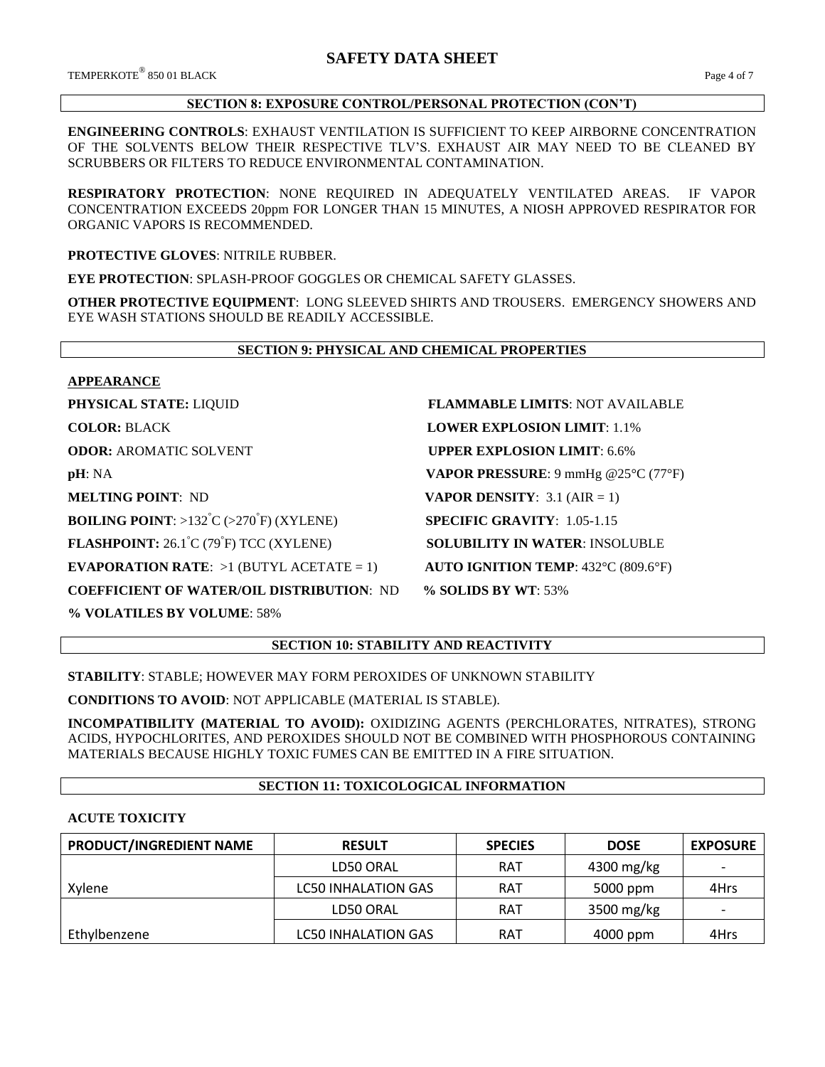TEMPERKOTE<sup>®</sup> 850 01 BLACK 850 01 BLACK Page 4 of 7

#### **SECTION 8: EXPOSURE CONTROL/PERSONAL PROTECTION (CON'T)**

**ENGINEERING CONTROLS**: EXHAUST VENTILATION IS SUFFICIENT TO KEEP AIRBORNE CONCENTRATION OF THE SOLVENTS BELOW THEIR RESPECTIVE TLV'S. EXHAUST AIR MAY NEED TO BE CLEANED BY SCRUBBERS OR FILTERS TO REDUCE ENVIRONMENTAL CONTAMINATION.

**RESPIRATORY PROTECTION**: NONE REQUIRED IN ADEQUATELY VENTILATED AREAS. IF VAPOR CONCENTRATION EXCEEDS 20ppm FOR LONGER THAN 15 MINUTES, A NIOSH APPROVED RESPIRATOR FOR ORGANIC VAPORS IS RECOMMENDED.

**PROTECTIVE GLOVES**: NITRILE RUBBER.

**EYE PROTECTION**: SPLASH-PROOF GOGGLES OR CHEMICAL SAFETY GLASSES.

**OTHER PROTECTIVE EQUIPMENT**: LONG SLEEVED SHIRTS AND TROUSERS. EMERGENCY SHOWERS AND EYE WASH STATIONS SHOULD BE READILY ACCESSIBLE.

#### **SECTION 9: PHYSICAL AND CHEMICAL PROPERTIES**

#### **APPEARANCE**

**BOILING POINT:** >132<sup>°</sup>C (>270<sup>°</sup>F) (XYLENE)

**FLASHPOINT:** 26.1°C (79°F) TCC (XYLENE)

**EVAPORATION RATE:**  $>1$  (BUTYL ACETATE = 1) **AUTO IGNITION TEMP**: 432°C (809.6°F)

**COEFFICIENT OF WATER/OIL DISTRIBUTION**: ND **% SOLIDS BY WT**: 53%

**% VOLATILES BY VOLUME**: 58%

**PHYSICAL STATE:** LIQUID **FLAMMABLE LIMITS**: NOT AVAILABLE **COLOR:** BLACK **LOWER EXPLOSION LIMIT**: 1.1% **ODOR: AROMATIC SOLVENT <b>UPPER EXPLOSION LIMIT**: 6.6% **pH**: NA **VAPOR PRESSURE**: 9 mmHg @25°C (77°F) **MELTING POINT**: ND **VAPOR DENSITY**: 3.1 (AIR = 1) **SPECIFIC GRAVITY: 1.05-1.15 SOLUBILITY IN WATER: INSOLUBLE** 

# **SECTION 10: STABILITY AND REACTIVITY**

**STABILITY**: STABLE; HOWEVER MAY FORM PEROXIDES OF UNKNOWN STABILITY

**CONDITIONS TO AVOID**: NOT APPLICABLE (MATERIAL IS STABLE).

**INCOMPATIBILITY (MATERIAL TO AVOID):** OXIDIZING AGENTS (PERCHLORATES, NITRATES), STRONG ACIDS, HYPOCHLORITES, AND PEROXIDES SHOULD NOT BE COMBINED WITH PHOSPHOROUS CONTAINING MATERIALS BECAUSE HIGHLY TOXIC FUMES CAN BE EMITTED IN A FIRE SITUATION.

#### **SECTION 11: TOXICOLOGICAL INFORMATION**

#### **ACUTE TOXICITY**

| PRODUCT/INGREDIENT NAME | <b>RESULT</b>              | <b>SPECIES</b> | <b>DOSE</b> | <b>EXPOSURE</b> |
|-------------------------|----------------------------|----------------|-------------|-----------------|
|                         | LD50 ORAL                  | <b>RAT</b>     | 4300 mg/kg  |                 |
| Xylene                  | <b>LC50 INHALATION GAS</b> | <b>RAT</b>     | 5000 ppm    | 4Hrs            |
|                         | LD50 ORAL                  | <b>RAT</b>     | 3500 mg/kg  |                 |
| Ethylbenzene            | <b>LC50 INHALATION GAS</b> | <b>RAT</b>     | 4000 ppm    | 4Hrs            |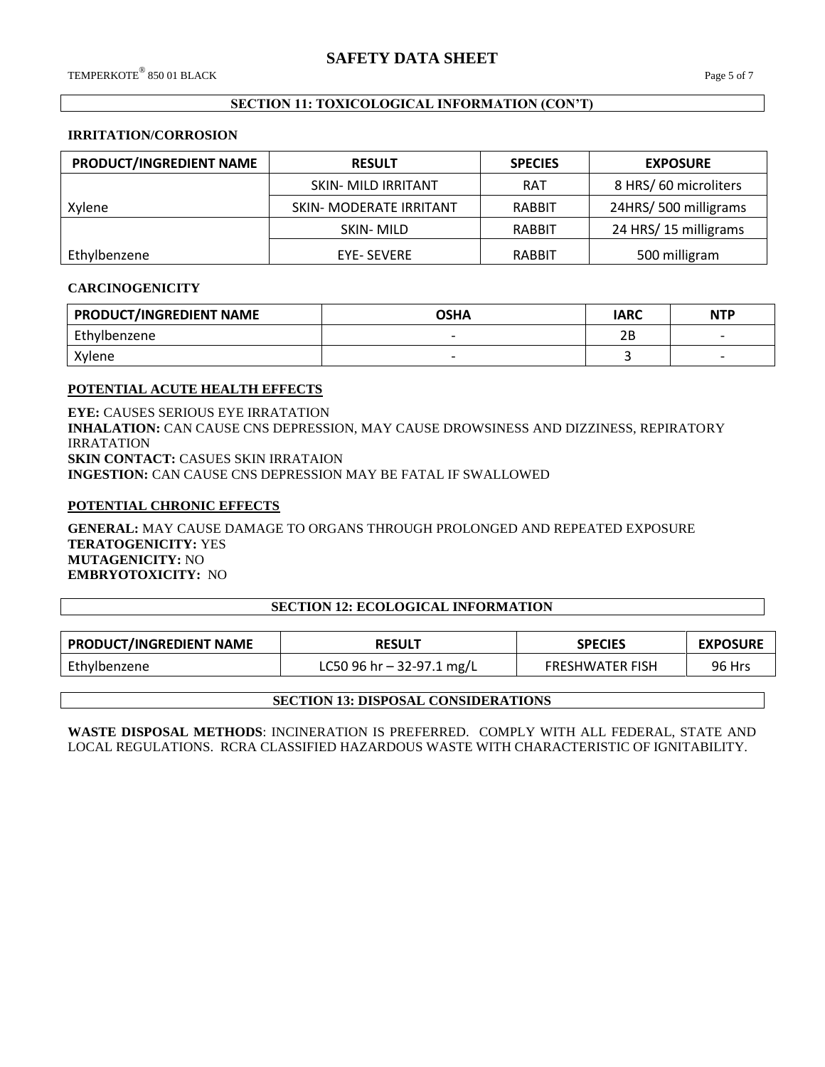# **SECTION 11: TOXICOLOGICAL INFORMATION (CON'T)**

#### **IRRITATION/CORROSION**

| PRODUCT/INGREDIENT NAME | <b>RESULT</b>                  | <b>SPECIES</b> | <b>EXPOSURE</b>      |
|-------------------------|--------------------------------|----------------|----------------------|
|                         | SKIN- MILD IRRITANT            | <b>RAT</b>     | 8 HRS/60 microliters |
| Xylene                  | <b>SKIN- MODERATE IRRITANT</b> | RABBIT         | 24HRS/500 milligrams |
|                         | SKIN-MILD                      | RABBIT         | 24 HRS/15 milligrams |
| Ethylbenzene            | <b>EYE- SEVERE</b>             | RABBIT         | 500 milligram        |

#### **CARCINOGENICITY**

| <b>PRODUCT/INGREDIENT NAME</b> | <b>OSHA</b>              | <b>IARC</b> | <b>NTP</b>               |
|--------------------------------|--------------------------|-------------|--------------------------|
| Ethylbenzene                   | $\overline{\phantom{0}}$ | 2Β          |                          |
| Xylene                         |                          |             | $\overline{\phantom{0}}$ |

#### **POTENTIAL ACUTE HEALTH EFFECTS**

**EYE:** CAUSES SERIOUS EYE IRRATATION **INHALATION:** CAN CAUSE CNS DEPRESSION, MAY CAUSE DROWSINESS AND DIZZINESS, REPIRATORY IRRATATION **SKIN CONTACT:** CASUES SKIN IRRATAION **INGESTION:** CAN CAUSE CNS DEPRESSION MAY BE FATAL IF SWALLOWED

#### **POTENTIAL CHRONIC EFFECTS**

**GENERAL:** MAY CAUSE DAMAGE TO ORGANS THROUGH PROLONGED AND REPEATED EXPOSURE **TERATOGENICITY:** YES **MUTAGENICITY:** NO **EMBRYOTOXICITY:** NO

#### **SECTION 12: ECOLOGICAL INFORMATION**

| <b>PRODUCT/INGREDIENT NAME</b><br><b>RESULT</b> |                             | <b>SPECIES</b>         | <b>EXPOSURE</b> |
|-------------------------------------------------|-----------------------------|------------------------|-----------------|
| Ethylbenzene                                    | LC50 96 hr $-$ 32-97.1 mg/L | <b>FRESHWATER FISH</b> | 96 Hrs          |

#### **SECTION 13: DISPOSAL CONSIDERATIONS**

**WASTE DISPOSAL METHODS**: INCINERATION IS PREFERRED. COMPLY WITH ALL FEDERAL, STATE AND LOCAL REGULATIONS. RCRA CLASSIFIED HAZARDOUS WASTE WITH CHARACTERISTIC OF IGNITABILITY.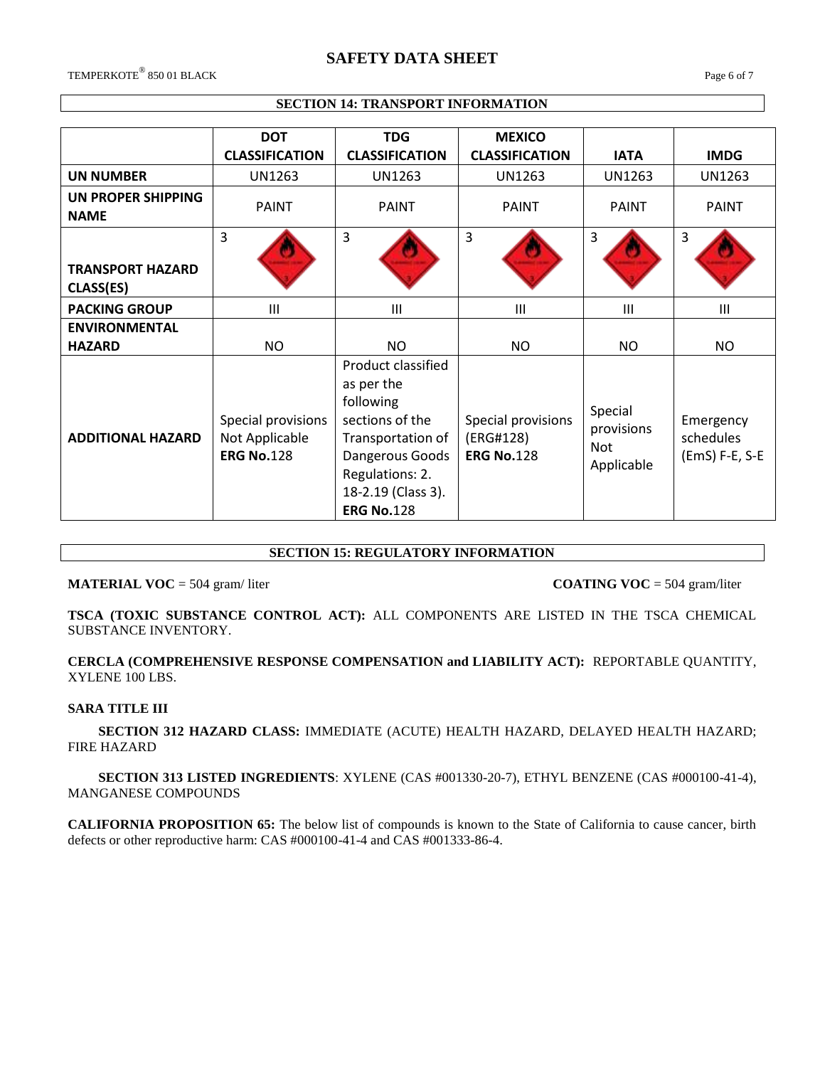# **SAFETY DATA SHEET**

TEMPERKOTE® 850 01 BLACK 850 01 BLACK Page 6 of 7

### **SECTION 14: TRANSPORT INFORMATION**

|                                      | <b>DOT</b>                                                | <b>TDG</b>                                                                                                                                                             | <b>MEXICO</b>                                        |                                            |                                          |
|--------------------------------------|-----------------------------------------------------------|------------------------------------------------------------------------------------------------------------------------------------------------------------------------|------------------------------------------------------|--------------------------------------------|------------------------------------------|
|                                      | <b>CLASSIFICATION</b>                                     | <b>CLASSIFICATION</b>                                                                                                                                                  | <b>CLASSIFICATION</b>                                | <b>IATA</b>                                | <b>IMDG</b>                              |
| <b>UN NUMBER</b>                     | <b>UN1263</b>                                             | UN1263                                                                                                                                                                 | UN1263                                               | UN1263                                     | <b>UN1263</b>                            |
| UN PROPER SHIPPING<br><b>NAME</b>    | <b>PAINT</b>                                              | PAINT                                                                                                                                                                  | <b>PAINT</b>                                         | <b>PAINT</b>                               | <b>PAINT</b>                             |
| <b>TRANSPORT HAZARD</b><br>CLASS(ES) | 3                                                         | $\overline{3}$                                                                                                                                                         | 3                                                    | 3                                          | 3                                        |
| <b>PACKING GROUP</b>                 | Ш                                                         | III                                                                                                                                                                    | $\mathbf{III}$                                       | $\mathbf{III}$                             | $\mathbf{III}$                           |
| <b>ENVIRONMENTAL</b>                 |                                                           |                                                                                                                                                                        |                                                      |                                            |                                          |
| <b>HAZARD</b>                        | NO.                                                       | NO                                                                                                                                                                     | <b>NO</b>                                            | NO.                                        | NO.                                      |
| <b>ADDITIONAL HAZARD</b>             | Special provisions<br>Not Applicable<br><b>ERG No.128</b> | Product classified<br>as per the<br>following<br>sections of the<br>Transportation of<br>Dangerous Goods<br>Regulations: 2.<br>18-2.19 (Class 3).<br><b>ERG No.128</b> | Special provisions<br>(ERG#128)<br><b>ERG No.128</b> | Special<br>provisions<br>Not<br>Applicable | Emergency<br>schedules<br>(EmS) F-E, S-E |

# **SECTION 15: REGULATORY INFORMATION**

**MATERIAL VOC** = 504 gram/liter **COATING VOC** = 504 gram/liter

**TSCA (TOXIC SUBSTANCE CONTROL ACT):** ALL COMPONENTS ARE LISTED IN THE TSCA CHEMICAL SUBSTANCE INVENTORY.

**CERCLA (COMPREHENSIVE RESPONSE COMPENSATION and LIABILITY ACT):** REPORTABLE QUANTITY, XYLENE 100 LBS.

#### **SARA TITLE III**

 **SECTION 312 HAZARD CLASS:** IMMEDIATE (ACUTE) HEALTH HAZARD, DELAYED HEALTH HAZARD; FIRE HAZARD

 **SECTION 313 LISTED INGREDIENTS**: XYLENE (CAS #001330-20-7), ETHYL BENZENE (CAS #000100-41-4), MANGANESE COMPOUNDS

**CALIFORNIA PROPOSITION 65:** The below list of compounds is known to the State of California to cause cancer, birth defects or other reproductive harm: CAS #000100-41-4 and CAS #001333-86-4.